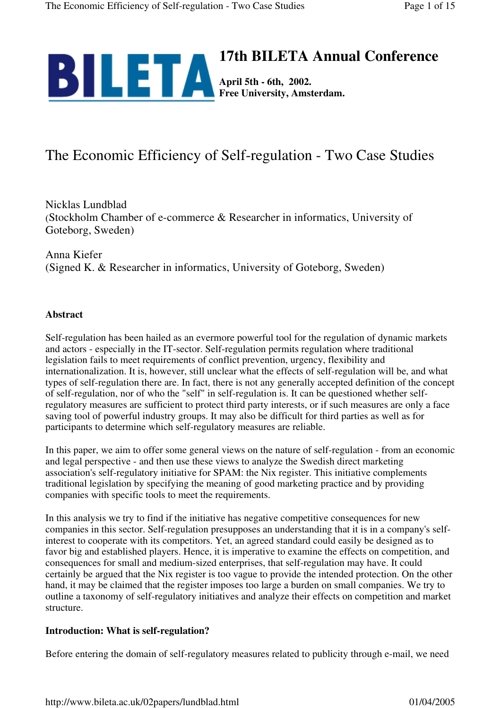

# The Economic Efficiency of Self-regulation - Two Case Studies

Nicklas Lundblad (Stockholm Chamber of e-commerce & Researcher in informatics, University of Goteborg, Sweden)

Anna Kiefer (Signed K. & Researcher in informatics, University of Goteborg, Sweden)

#### **Abstract**

Self-regulation has been hailed as an evermore powerful tool for the regulation of dynamic markets and actors - especially in the IT-sector. Self-regulation permits regulation where traditional legislation fails to meet requirements of conflict prevention, urgency, flexibility and internationalization. It is, however, still unclear what the effects of self-regulation will be, and what types of self-regulation there are. In fact, there is not any generally accepted definition of the concept of self-regulation, nor of who the "self" in self-regulation is. It can be questioned whether selfregulatory measures are sufficient to protect third party interests, or if such measures are only a face saving tool of powerful industry groups. It may also be difficult for third parties as well as for participants to determine which self-regulatory measures are reliable.

In this paper, we aim to offer some general views on the nature of self-regulation - from an economic and legal perspective - and then use these views to analyze the Swedish direct marketing association's self-regulatory initiative for SPAM: the Nix register. This initiative complements traditional legislation by specifying the meaning of good marketing practice and by providing companies with specific tools to meet the requirements.

In this analysis we try to find if the initiative has negative competitive consequences for new companies in this sector. Self-regulation presupposes an understanding that it is in a company's selfinterest to cooperate with its competitors. Yet, an agreed standard could easily be designed as to favor big and established players. Hence, it is imperative to examine the effects on competition, and consequences for small and medium-sized enterprises, that self-regulation may have. It could certainly be argued that the Nix register is too vague to provide the intended protection. On the other hand, it may be claimed that the register imposes too large a burden on small companies. We try to outline a taxonomy of self-regulatory initiatives and analyze their effects on competition and market structure.

# **Introduction: What is self-regulation?**

Before entering the domain of self-regulatory measures related to publicity through e-mail, we need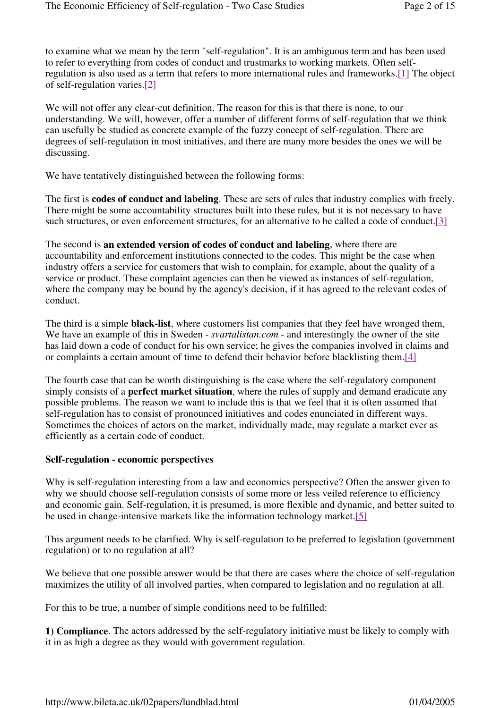to examine what we mean by the term "self-regulation". It is an ambiguous term and has been used to refer to everything from codes of conduct and trustmarks to working markets. Often selfregulation is also used as a term that refers to more international rules and frameworks.[1] The object of self-regulation varies.[2]

We will not offer any clear-cut definition. The reason for this is that there is none, to our understanding. We will, however, offer a number of different forms of self-regulation that we think can usefully be studied as concrete example of the fuzzy concept of self-regulation. There are degrees of self-regulation in most initiatives, and there are many more besides the ones we will be discussing.

We have tentatively distinguished between the following forms:

The first is **codes of conduct and labeling**. These are sets of rules that industry complies with freely. There might be some accountability structures built into these rules, but it is not necessary to have such structures, or even enforcement structures, for an alternative to be called a code of conduct.<sup>[3]</sup>

The second is **an extended version of codes of conduct and labeling**, where there are accountability and enforcement institutions connected to the codes. This might be the case when industry offers a service for customers that wish to complain, for example, about the quality of a service or product. These complaint agencies can then be viewed as instances of self-regulation, where the company may be bound by the agency's decision, if it has agreed to the relevant codes of conduct.

The third is a simple **black-list**, where customers list companies that they feel have wronged them, We have an example of this in Sweden - *svartalistan.com* - and interestingly the owner of the site has laid down a code of conduct for his own service; he gives the companies involved in claims and or complaints a certain amount of time to defend their behavior before blacklisting them.[4]

The fourth case that can be worth distinguishing is the case where the self-regulatory component simply consists of a **perfect market situation**, where the rules of supply and demand eradicate any possible problems. The reason we want to include this is that we feel that it is often assumed that self-regulation has to consist of pronounced initiatives and codes enunciated in different ways. Sometimes the choices of actors on the market, individually made, may regulate a market ever as efficiently as a certain code of conduct.

# **Self-regulation - economic perspectives**

Why is self-regulation interesting from a law and economics perspective? Often the answer given to why we should choose self-regulation consists of some more or less veiled reference to efficiency and economic gain. Self-regulation, it is presumed, is more flexible and dynamic, and better suited to be used in change-intensive markets like the information technology market.[5]

This argument needs to be clarified. Why is self-regulation to be preferred to legislation (government regulation) or to no regulation at all?

We believe that one possible answer would be that there are cases where the choice of self-regulation maximizes the utility of all involved parties, when compared to legislation and no regulation at all.

For this to be true, a number of simple conditions need to be fulfilled:

**1) Compliance**. The actors addressed by the self-regulatory initiative must be likely to comply with it in as high a degree as they would with government regulation.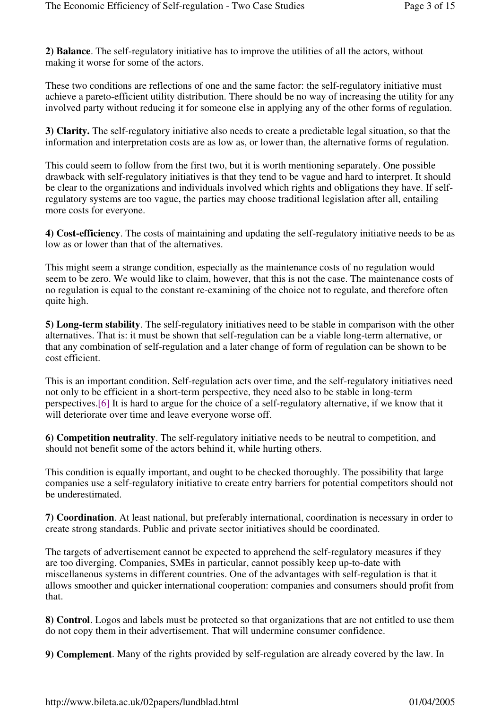**2) Balance**. The self-regulatory initiative has to improve the utilities of all the actors, without making it worse for some of the actors.

These two conditions are reflections of one and the same factor: the self-regulatory initiative must achieve a pareto-efficient utility distribution. There should be no way of increasing the utility for any involved party without reducing it for someone else in applying any of the other forms of regulation.

**3) Clarity.** The self-regulatory initiative also needs to create a predictable legal situation, so that the information and interpretation costs are as low as, or lower than, the alternative forms of regulation.

This could seem to follow from the first two, but it is worth mentioning separately. One possible drawback with self-regulatory initiatives is that they tend to be vague and hard to interpret. It should be clear to the organizations and individuals involved which rights and obligations they have. If selfregulatory systems are too vague, the parties may choose traditional legislation after all, entailing more costs for everyone.

**4) Cost-efficiency**. The costs of maintaining and updating the self-regulatory initiative needs to be as low as or lower than that of the alternatives.

This might seem a strange condition, especially as the maintenance costs of no regulation would seem to be zero. We would like to claim, however, that this is not the case. The maintenance costs of no regulation is equal to the constant re-examining of the choice not to regulate, and therefore often quite high.

**5) Long-term stability**. The self-regulatory initiatives need to be stable in comparison with the other alternatives. That is: it must be shown that self-regulation can be a viable long-term alternative, or that any combination of self-regulation and a later change of form of regulation can be shown to be cost efficient.

This is an important condition. Self-regulation acts over time, and the self-regulatory initiatives need not only to be efficient in a short-term perspective, they need also to be stable in long-term perspectives.[6] It is hard to argue for the choice of a self-regulatory alternative, if we know that it will deteriorate over time and leave everyone worse off.

**6) Competition neutrality**. The self-regulatory initiative needs to be neutral to competition, and should not benefit some of the actors behind it, while hurting others.

This condition is equally important, and ought to be checked thoroughly. The possibility that large companies use a self-regulatory initiative to create entry barriers for potential competitors should not be underestimated.

**7) Coordination**. At least national, but preferably international, coordination is necessary in order to create strong standards. Public and private sector initiatives should be coordinated.

The targets of advertisement cannot be expected to apprehend the self-regulatory measures if they are too diverging. Companies, SMEs in particular, cannot possibly keep up-to-date with miscellaneous systems in different countries. One of the advantages with self-regulation is that it allows smoother and quicker international cooperation: companies and consumers should profit from that.

**8) Control**. Logos and labels must be protected so that organizations that are not entitled to use them do not copy them in their advertisement. That will undermine consumer confidence.

**9) Complement**. Many of the rights provided by self-regulation are already covered by the law. In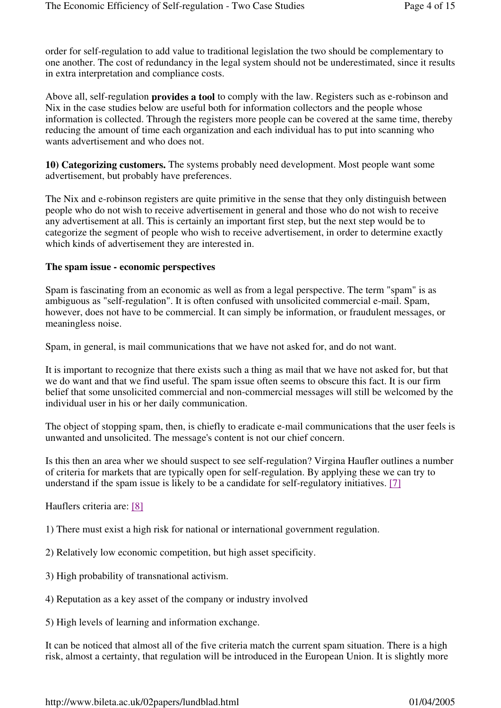order for self-regulation to add value to traditional legislation the two should be complementary to one another. The cost of redundancy in the legal system should not be underestimated, since it results in extra interpretation and compliance costs.

Above all, self-regulation **provides a tool** to comply with the law. Registers such as e-robinson and Nix in the case studies below are useful both for information collectors and the people whose information is collected. Through the registers more people can be covered at the same time, thereby reducing the amount of time each organization and each individual has to put into scanning who wants advertisement and who does not.

**10) Categorizing customers.** The systems probably need development. Most people want some advertisement, but probably have preferences.

The Nix and e-robinson registers are quite primitive in the sense that they only distinguish between people who do not wish to receive advertisement in general and those who do not wish to receive any advertisement at all. This is certainly an important first step, but the next step would be to categorize the segment of people who wish to receive advertisement, in order to determine exactly which kinds of advertisement they are interested in.

#### **The spam issue - economic perspectives**

Spam is fascinating from an economic as well as from a legal perspective. The term "spam" is as ambiguous as "self-regulation". It is often confused with unsolicited commercial e-mail. Spam, however, does not have to be commercial. It can simply be information, or fraudulent messages, or meaningless noise.

Spam, in general, is mail communications that we have not asked for, and do not want.

It is important to recognize that there exists such a thing as mail that we have not asked for, but that we do want and that we find useful. The spam issue often seems to obscure this fact. It is our firm belief that some unsolicited commercial and non-commercial messages will still be welcomed by the individual user in his or her daily communication.

The object of stopping spam, then, is chiefly to eradicate e-mail communications that the user feels is unwanted and unsolicited. The message's content is not our chief concern.

Is this then an area wher we should suspect to see self-regulation? Virgina Haufler outlines a number of criteria for markets that are typically open for self-regulation. By applying these we can try to understand if the spam issue is likely to be a candidate for self-regulatory initiatives. [7]

Hauflers criteria are: [8]

1) There must exist a high risk for national or international government regulation.

2) Relatively low economic competition, but high asset specificity.

3) High probability of transnational activism.

4) Reputation as a key asset of the company or industry involved

5) High levels of learning and information exchange.

It can be noticed that almost all of the five criteria match the current spam situation. There is a high risk, almost a certainty, that regulation will be introduced in the European Union. It is slightly more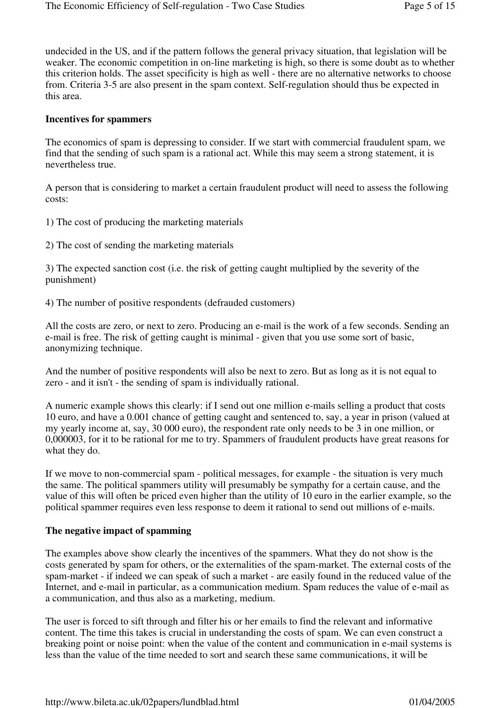undecided in the US, and if the pattern follows the general privacy situation, that legislation will be weaker. The economic competition in on-line marketing is high, so there is some doubt as to whether this criterion holds. The asset specificity is high as well - there are no alternative networks to choose from. Criteria 3-5 are also present in the spam context. Self-regulation should thus be expected in this area.

#### **Incentives for spammers**

The economics of spam is depressing to consider. If we start with commercial fraudulent spam, we find that the sending of such spam is a rational act. While this may seem a strong statement, it is nevertheless true.

A person that is considering to market a certain fraudulent product will need to assess the following costs:

1) The cost of producing the marketing materials

2) The cost of sending the marketing materials

3) The expected sanction cost (i.e. the risk of getting caught multiplied by the severity of the punishment)

4) The number of positive respondents (defrauded customers)

All the costs are zero, or next to zero. Producing an e-mail is the work of a few seconds. Sending an e-mail is free. The risk of getting caught is minimal - given that you use some sort of basic, anonymizing technique.

And the number of positive respondents will also be next to zero. But as long as it is not equal to zero - and it isn't - the sending of spam is individually rational.

A numeric example shows this clearly: if I send out one million e-mails selling a product that costs 10 euro, and have a 0.001 chance of getting caught and sentenced to, say, a year in prison (valued at my yearly income at, say, 30 000 euro), the respondent rate only needs to be 3 in one million, or 0,000003, for it to be rational for me to try. Spammers of fraudulent products have great reasons for what they do.

If we move to non-commercial spam - political messages, for example - the situation is very much the same. The political spammers utility will presumably be sympathy for a certain cause, and the value of this will often be priced even higher than the utility of 10 euro in the earlier example, so the political spammer requires even less response to deem it rational to send out millions of e-mails.

#### **The negative impact of spamming**

The examples above show clearly the incentives of the spammers. What they do not show is the costs generated by spam for others, or the externalities of the spam-market. The external costs of the spam-market - if indeed we can speak of such a market - are easily found in the reduced value of the Internet, and e-mail in particular, as a communication medium. Spam reduces the value of e-mail as a communication, and thus also as a marketing, medium.

The user is forced to sift through and filter his or her emails to find the relevant and informative content. The time this takes is crucial in understanding the costs of spam. We can even construct a breaking point or noise point: when the value of the content and communication in e-mail systems is less than the value of the time needed to sort and search these same communications, it will be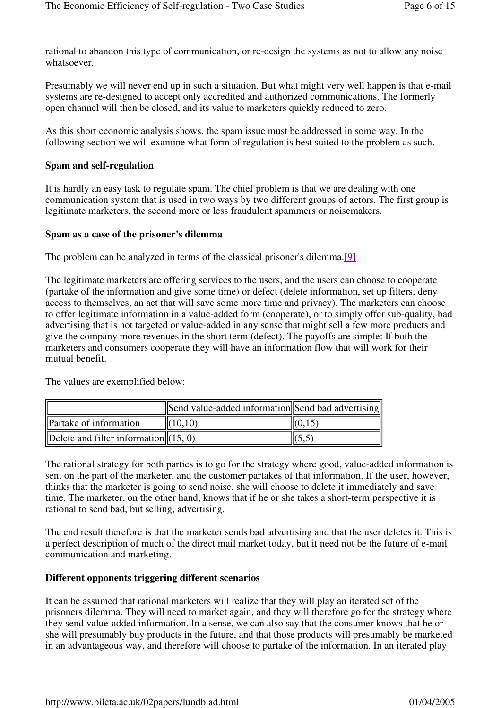rational to abandon this type of communication, or re-design the systems as not to allow any noise whatsoever.

Presumably we will never end up in such a situation. But what might very well happen is that e-mail systems are re-designed to accept only accredited and authorized communications. The formerly open channel will then be closed, and its value to marketers quickly reduced to zero.

As this short economic analysis shows, the spam issue must be addressed in some way. In the following section we will examine what form of regulation is best suited to the problem as such.

#### **Spam and self-regulation**

It is hardly an easy task to regulate spam. The chief problem is that we are dealing with one communication system that is used in two ways by two different groups of actors. The first group is legitimate marketers, the second more or less fraudulent spammers or noisemakers.

#### **Spam as a case of the prisoner's dilemma**

The problem can be analyzed in terms of the classical prisoner's dilemma.[9]

The legitimate marketers are offering services to the users, and the users can choose to cooperate (partake of the information and give some time) or defect (delete information, set up filters, deny access to themselves, an act that will save some more time and privacy). The marketers can choose to offer legitimate information in a value-added form (cooperate), or to simply offer sub-quality, bad advertising that is not targeted or value-added in any sense that might sell a few more products and give the company more revenues in the short term (defect). The payoffs are simple: If both the marketers and consumers cooperate they will have an information flow that will work for their mutual benefit.

The values are exemplified below:

|                                         | Send value-added information Send bad advertising |                    |
|-----------------------------------------|---------------------------------------------------|--------------------|
| <b>Partake of information</b>           | (10,10)                                           | $\parallel$ (0,15) |
| Delete and filter information $(15, 0)$ |                                                   |                    |

The rational strategy for both parties is to go for the strategy where good, value-added information is sent on the part of the marketer, and the customer partakes of that information. If the user, however, thinks that the marketer is going to send noise, she will choose to delete it immediately and save time. The marketer, on the other hand, knows that if he or she takes a short-term perspective it is rational to send bad, but selling, advertising.

The end result therefore is that the marketer sends bad advertising and that the user deletes it. This is a perfect description of much of the direct mail market today, but it need not be the future of e-mail communication and marketing.

# **Different opponents triggering different scenarios**

It can be assumed that rational marketers will realize that they will play an iterated set of the prisoners dilemma. They will need to market again, and they will therefore go for the strategy where they send value-added information. In a sense, we can also say that the consumer knows that he or she will presumably buy products in the future, and that those products will presumably be marketed in an advantageous way, and therefore will choose to partake of the information. In an iterated play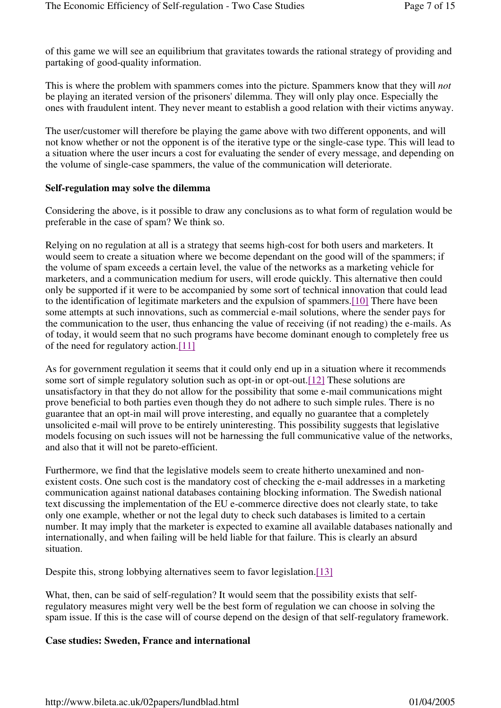of this game we will see an equilibrium that gravitates towards the rational strategy of providing and partaking of good-quality information.

This is where the problem with spammers comes into the picture. Spammers know that they will *not* be playing an iterated version of the prisoners' dilemma. They will only play once. Especially the ones with fraudulent intent. They never meant to establish a good relation with their victims anyway.

The user/customer will therefore be playing the game above with two different opponents, and will not know whether or not the opponent is of the iterative type or the single-case type. This will lead to a situation where the user incurs a cost for evaluating the sender of every message, and depending on the volume of single-case spammers, the value of the communication will deteriorate.

#### **Self-regulation may solve the dilemma**

Considering the above, is it possible to draw any conclusions as to what form of regulation would be preferable in the case of spam? We think so.

Relying on no regulation at all is a strategy that seems high-cost for both users and marketers. It would seem to create a situation where we become dependant on the good will of the spammers; if the volume of spam exceeds a certain level, the value of the networks as a marketing vehicle for marketers, and a communication medium for users, will erode quickly. This alternative then could only be supported if it were to be accompanied by some sort of technical innovation that could lead to the identification of legitimate marketers and the expulsion of spammers.[10] There have been some attempts at such innovations, such as commercial e-mail solutions, where the sender pays for the communication to the user, thus enhancing the value of receiving (if not reading) the e-mails. As of today, it would seem that no such programs have become dominant enough to completely free us of the need for regulatory action.[11]

As for government regulation it seems that it could only end up in a situation where it recommends some sort of simple regulatory solution such as opt-in or opt-out.[12] These solutions are unsatisfactory in that they do not allow for the possibility that some e-mail communications might prove beneficial to both parties even though they do not adhere to such simple rules. There is no guarantee that an opt-in mail will prove interesting, and equally no guarantee that a completely unsolicited e-mail will prove to be entirely uninteresting. This possibility suggests that legislative models focusing on such issues will not be harnessing the full communicative value of the networks, and also that it will not be pareto-efficient.

Furthermore, we find that the legislative models seem to create hitherto unexamined and nonexistent costs. One such cost is the mandatory cost of checking the e-mail addresses in a marketing communication against national databases containing blocking information. The Swedish national text discussing the implementation of the EU e-commerce directive does not clearly state, to take only one example, whether or not the legal duty to check such databases is limited to a certain number. It may imply that the marketer is expected to examine all available databases nationally and internationally, and when failing will be held liable for that failure. This is clearly an absurd situation.

Despite this, strong lobbying alternatives seem to favor legislation.[13]

What, then, can be said of self-regulation? It would seem that the possibility exists that selfregulatory measures might very well be the best form of regulation we can choose in solving the spam issue. If this is the case will of course depend on the design of that self-regulatory framework.

# **Case studies: Sweden, France and international**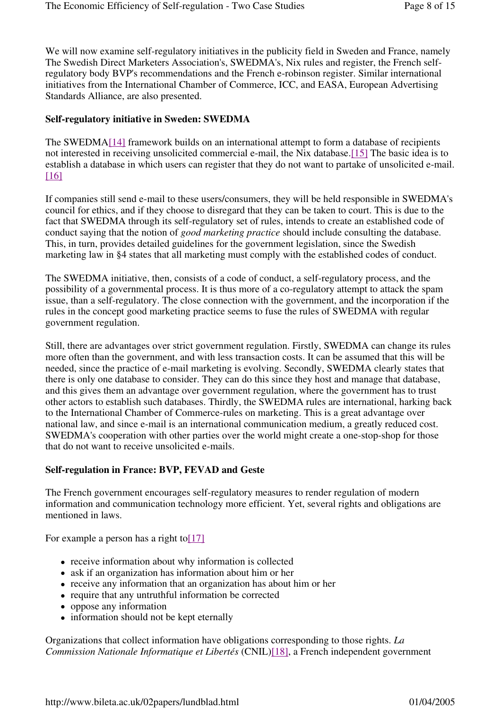We will now examine self-regulatory initiatives in the publicity field in Sweden and France, namely The Swedish Direct Marketers Association's, SWEDMA's, Nix rules and register, the French selfregulatory body BVP's recommendations and the French e-robinson register. Similar international initiatives from the International Chamber of Commerce, ICC, and EASA, European Advertising Standards Alliance, are also presented.

# **Self-regulatory initiative in Sweden: SWEDMA**

The SWEDMA[14] framework builds on an international attempt to form a database of recipients not interested in receiving unsolicited commercial e-mail, the Nix database.[15] The basic idea is to establish a database in which users can register that they do not want to partake of unsolicited e-mail. [16]

If companies still send e-mail to these users/consumers, they will be held responsible in SWEDMA's council for ethics, and if they choose to disregard that they can be taken to court. This is due to the fact that SWEDMA through its self-regulatory set of rules, intends to create an established code of conduct saying that the notion of *good marketing practice* should include consulting the database. This, in turn, provides detailed guidelines for the government legislation, since the Swedish marketing law in §4 states that all marketing must comply with the established codes of conduct.

The SWEDMA initiative, then, consists of a code of conduct, a self-regulatory process, and the possibility of a governmental process. It is thus more of a co-regulatory attempt to attack the spam issue, than a self-regulatory. The close connection with the government, and the incorporation if the rules in the concept good marketing practice seems to fuse the rules of SWEDMA with regular government regulation.

Still, there are advantages over strict government regulation. Firstly, SWEDMA can change its rules more often than the government, and with less transaction costs. It can be assumed that this will be needed, since the practice of e-mail marketing is evolving. Secondly, SWEDMA clearly states that there is only one database to consider. They can do this since they host and manage that database, and this gives them an advantage over government regulation, where the government has to trust other actors to establish such databases. Thirdly, the SWEDMA rules are international, harking back to the International Chamber of Commerce-rules on marketing. This is a great advantage over national law, and since e-mail is an international communication medium, a greatly reduced cost. SWEDMA's cooperation with other parties over the world might create a one-stop-shop for those that do not want to receive unsolicited e-mails.

# **Self-regulation in France: BVP, FEVAD and Geste**

The French government encourages self-regulatory measures to render regulation of modern information and communication technology more efficient. Yet, several rights and obligations are mentioned in laws.

For example a person has a right to  $[17]$ 

- receive information about why information is collected
- ask if an organization has information about him or her
- receive any information that an organization has about him or her
- require that any untruthful information be corrected
- oppose any information
- information should not be kept eternally

Organizations that collect information have obligations corresponding to those rights. *La Commission Nationale Informatique et Libertés* (CNIL)[18], a French independent government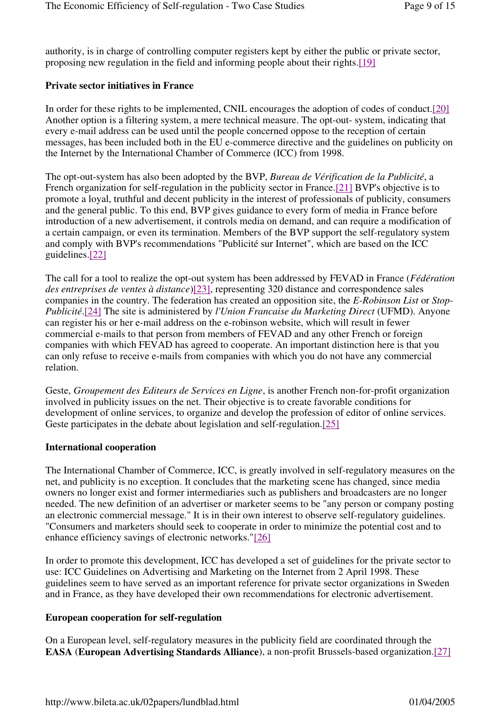authority, is in charge of controlling computer registers kept by either the public or private sector, proposing new regulation in the field and informing people about their rights.[19]

#### **Private sector initiatives in France**

In order for these rights to be implemented, CNIL encourages the adoption of codes of conduct.[20] Another option is a filtering system, a mere technical measure. The opt-out- system, indicating that every e-mail address can be used until the people concerned oppose to the reception of certain messages, has been included both in the EU e-commerce directive and the guidelines on publicity on the Internet by the International Chamber of Commerce (ICC) from 1998.

The opt-out-system has also been adopted by the BVP, *Bureau de Vérification de la Publicité*, a French organization for self-regulation in the publicity sector in France.[21] BVP's objective is to promote a loyal, truthful and decent publicity in the interest of professionals of publicity, consumers and the general public. To this end, BVP gives guidance to every form of media in France before introduction of a new advertisement, it controls media on demand, and can require a modification of a certain campaign, or even its termination. Members of the BVP support the self-regulatory system and comply with BVP's recommendations "Publicité sur Internet", which are based on the ICC guidelines.[22]

The call for a tool to realize the opt-out system has been addressed by FEVAD in France (*Fédération des entreprises de ventes à distance*)[23], representing 320 distance and correspondence sales companies in the country. The federation has created an opposition site, the *E-Robinson List* or *Stop-Publicité*.[24] The site is administered by *l'Union Francaise du Marketing Direct* (UFMD). Anyone can register his or her e-mail address on the e-robinson website, which will result in fewer commercial e-mails to that person from members of FEVAD and any other French or foreign companies with which FEVAD has agreed to cooperate. An important distinction here is that you can only refuse to receive e-mails from companies with which you do not have any commercial relation.

Geste, *Groupement des Editeurs de Services en Ligne*, is another French non-for-profit organization involved in publicity issues on the net. Their objective is to create favorable conditions for development of online services, to organize and develop the profession of editor of online services. Geste participates in the debate about legislation and self-regulation.[25]

#### **International cooperation**

The International Chamber of Commerce, ICC, is greatly involved in self-regulatory measures on the net, and publicity is no exception. It concludes that the marketing scene has changed, since media owners no longer exist and former intermediaries such as publishers and broadcasters are no longer needed. The new definition of an advertiser or marketer seems to be "any person or company posting an electronic commercial message." It is in their own interest to observe self-regulatory guidelines. "Consumers and marketers should seek to cooperate in order to minimize the potential cost and to enhance efficiency savings of electronic networks."[26]

In order to promote this development, ICC has developed a set of guidelines for the private sector to use: ICC Guidelines on Advertising and Marketing on the Internet from 2 April 1998. These guidelines seem to have served as an important reference for private sector organizations in Sweden and in France, as they have developed their own recommendations for electronic advertisement.

#### **European cooperation for self-regulation**

On a European level, self-regulatory measures in the publicity field are coordinated through the **EASA** (**European Advertising Standards Alliance**), a non-profit Brussels-based organization.[27]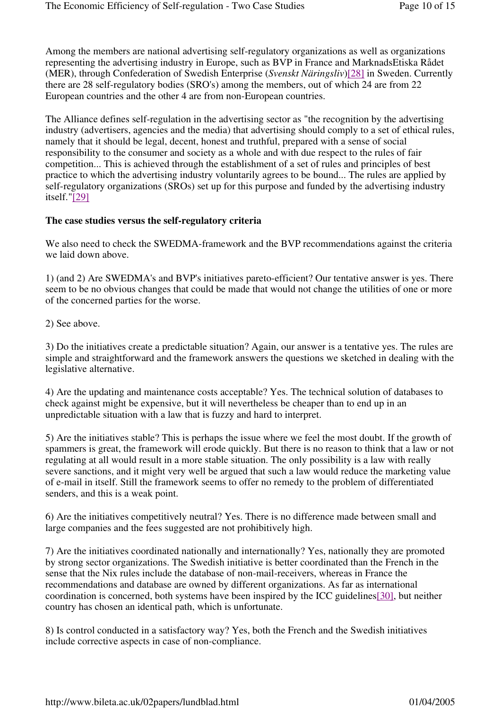Among the members are national advertising self-regulatory organizations as well as organizations representing the advertising industry in Europe, such as BVP in France and MarknadsEtiska Rådet (MER), through Confederation of Swedish Enterprise (*Svenskt Näringsliv*)[28] in Sweden. Currently there are 28 self-regulatory bodies (SRO's) among the members, out of which 24 are from 22 European countries and the other 4 are from non-European countries.

The Alliance defines self-regulation in the advertising sector as "the recognition by the advertising industry (advertisers, agencies and the media) that advertising should comply to a set of ethical rules, namely that it should be legal, decent, honest and truthful, prepared with a sense of social responsibility to the consumer and society as a whole and with due respect to the rules of fair competition... This is achieved through the establishment of a set of rules and principles of best practice to which the advertising industry voluntarily agrees to be bound... The rules are applied by self-regulatory organizations (SROs) set up for this purpose and funded by the advertising industry itself."[29]

#### **The case studies versus the self-regulatory criteria**

We also need to check the SWEDMA-framework and the BVP recommendations against the criteria we laid down above.

1) (and 2) Are SWEDMA's and BVP's initiatives pareto-efficient? Our tentative answer is yes. There seem to be no obvious changes that could be made that would not change the utilities of one or more of the concerned parties for the worse.

2) See above.

3) Do the initiatives create a predictable situation? Again, our answer is a tentative yes. The rules are simple and straightforward and the framework answers the questions we sketched in dealing with the legislative alternative.

4) Are the updating and maintenance costs acceptable? Yes. The technical solution of databases to check against might be expensive, but it will nevertheless be cheaper than to end up in an unpredictable situation with a law that is fuzzy and hard to interpret.

5) Are the initiatives stable? This is perhaps the issue where we feel the most doubt. If the growth of spammers is great, the framework will erode quickly. But there is no reason to think that a law or not regulating at all would result in a more stable situation. The only possibility is a law with really severe sanctions, and it might very well be argued that such a law would reduce the marketing value of e-mail in itself. Still the framework seems to offer no remedy to the problem of differentiated senders, and this is a weak point.

6) Are the initiatives competitively neutral? Yes. There is no difference made between small and large companies and the fees suggested are not prohibitively high.

7) Are the initiatives coordinated nationally and internationally? Yes, nationally they are promoted by strong sector organizations. The Swedish initiative is better coordinated than the French in the sense that the Nix rules include the database of non-mail-receivers, whereas in France the recommendations and database are owned by different organizations. As far as international coordination is concerned, both systems have been inspired by the ICC guidelines[30], but neither country has chosen an identical path, which is unfortunate.

8) Is control conducted in a satisfactory way? Yes, both the French and the Swedish initiatives include corrective aspects in case of non-compliance.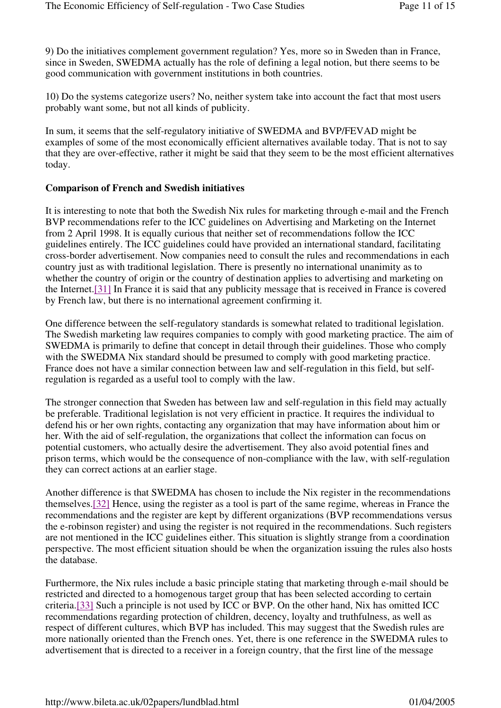9) Do the initiatives complement government regulation? Yes, more so in Sweden than in France, since in Sweden, SWEDMA actually has the role of defining a legal notion, but there seems to be good communication with government institutions in both countries.

10) Do the systems categorize users? No, neither system take into account the fact that most users probably want some, but not all kinds of publicity.

In sum, it seems that the self-regulatory initiative of SWEDMA and BVP/FEVAD might be examples of some of the most economically efficient alternatives available today. That is not to say that they are over-effective, rather it might be said that they seem to be the most efficient alternatives today.

#### **Comparison of French and Swedish initiatives**

It is interesting to note that both the Swedish Nix rules for marketing through e-mail and the French BVP recommendations refer to the ICC guidelines on Advertising and Marketing on the Internet from 2 April 1998. It is equally curious that neither set of recommendations follow the ICC guidelines entirely. The ICC guidelines could have provided an international standard, facilitating cross-border advertisement. Now companies need to consult the rules and recommendations in each country just as with traditional legislation. There is presently no international unanimity as to whether the country of origin or the country of destination applies to advertising and marketing on the Internet.[31] In France it is said that any publicity message that is received in France is covered by French law, but there is no international agreement confirming it.

One difference between the self-regulatory standards is somewhat related to traditional legislation. The Swedish marketing law requires companies to comply with good marketing practice. The aim of SWEDMA is primarily to define that concept in detail through their guidelines. Those who comply with the SWEDMA Nix standard should be presumed to comply with good marketing practice. France does not have a similar connection between law and self-regulation in this field, but selfregulation is regarded as a useful tool to comply with the law.

The stronger connection that Sweden has between law and self-regulation in this field may actually be preferable. Traditional legislation is not very efficient in practice. It requires the individual to defend his or her own rights, contacting any organization that may have information about him or her. With the aid of self-regulation, the organizations that collect the information can focus on potential customers, who actually desire the advertisement. They also avoid potential fines and prison terms, which would be the consequence of non-compliance with the law, with self-regulation they can correct actions at an earlier stage.

Another difference is that SWEDMA has chosen to include the Nix register in the recommendations themselves.[32] Hence, using the register as a tool is part of the same regime, whereas in France the recommendations and the register are kept by different organizations (BVP recommendations versus the e-robinson register) and using the register is not required in the recommendations. Such registers are not mentioned in the ICC guidelines either. This situation is slightly strange from a coordination perspective. The most efficient situation should be when the organization issuing the rules also hosts the database.

Furthermore, the Nix rules include a basic principle stating that marketing through e-mail should be restricted and directed to a homogenous target group that has been selected according to certain criteria.[33] Such a principle is not used by ICC or BVP. On the other hand, Nix has omitted ICC recommendations regarding protection of children, decency, loyalty and truthfulness, as well as respect of different cultures, which BVP has included. This may suggest that the Swedish rules are more nationally oriented than the French ones. Yet, there is one reference in the SWEDMA rules to advertisement that is directed to a receiver in a foreign country, that the first line of the message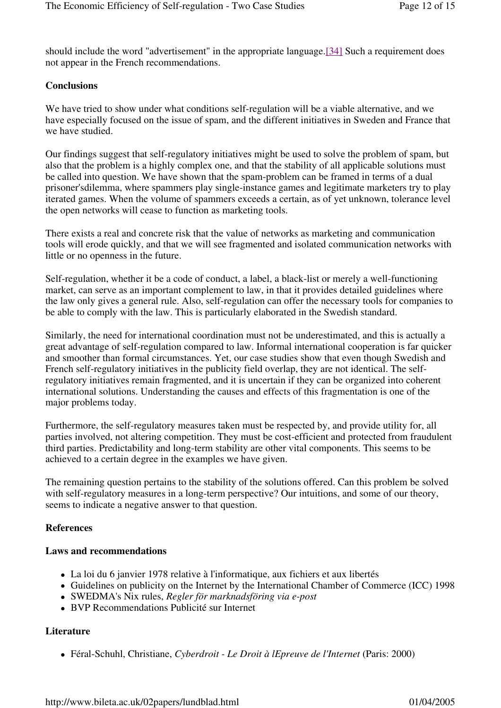should include the word "advertisement" in the appropriate language.[34] Such a requirement does not appear in the French recommendations.

# **Conclusions**

We have tried to show under what conditions self-regulation will be a viable alternative, and we have especially focused on the issue of spam, and the different initiatives in Sweden and France that we have studied.

Our findings suggest that self-regulatory initiatives might be used to solve the problem of spam, but also that the problem is a highly complex one, and that the stability of all applicable solutions must be called into question. We have shown that the spam-problem can be framed in terms of a dual prisoner'sdilemma, where spammers play single-instance games and legitimate marketers try to play iterated games. When the volume of spammers exceeds a certain, as of yet unknown, tolerance level the open networks will cease to function as marketing tools.

There exists a real and concrete risk that the value of networks as marketing and communication tools will erode quickly, and that we will see fragmented and isolated communication networks with little or no openness in the future.

Self-regulation, whether it be a code of conduct, a label, a black-list or merely a well-functioning market, can serve as an important complement to law, in that it provides detailed guidelines where the law only gives a general rule. Also, self-regulation can offer the necessary tools for companies to be able to comply with the law. This is particularly elaborated in the Swedish standard.

Similarly, the need for international coordination must not be underestimated, and this is actually a great advantage of self-regulation compared to law. Informal international cooperation is far quicker and smoother than formal circumstances. Yet, our case studies show that even though Swedish and French self-regulatory initiatives in the publicity field overlap, they are not identical. The selfregulatory initiatives remain fragmented, and it is uncertain if they can be organized into coherent international solutions. Understanding the causes and effects of this fragmentation is one of the major problems today.

Furthermore, the self-regulatory measures taken must be respected by, and provide utility for, all parties involved, not altering competition. They must be cost-efficient and protected from fraudulent third parties. Predictability and long-term stability are other vital components. This seems to be achieved to a certain degree in the examples we have given.

The remaining question pertains to the stability of the solutions offered. Can this problem be solved with self-regulatory measures in a long-term perspective? Our intuitions, and some of our theory, seems to indicate a negative answer to that question.

# **References**

# **Laws and recommendations**

- La loi du 6 janvier 1978 relative à l'informatique, aux fichiers et aux libertés
- Guidelines on publicity on the Internet by the International Chamber of Commerce (ICC) 1998
- SWEDMA's Nix rules, *Regler för marknadsföring via e-post*
- BVP Recommendations Publicité sur Internet

# **Literature**

Féral-Schuhl, Christiane, *Cyberdroit - Le Droit à lEpreuve de l'Internet* (Paris: 2000)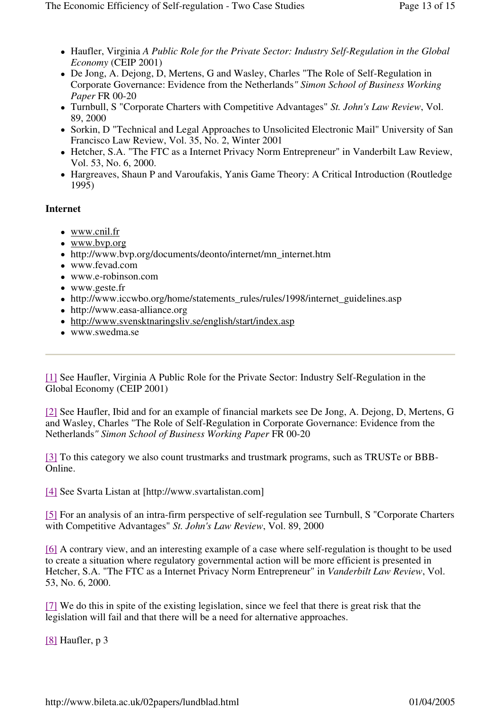- Haufler, Virginia *A Public Role for the Private Sector: Industry Self-Regulation in the Global Economy* (CEIP 2001)
- De Jong, A. Dejong, D, Mertens, G and Wasley, Charles "The Role of Self-Regulation in Corporate Governance: Evidence from the Netherlands*" Simon School of Business Working Paper* FR 00-20
- Turnbull, S "Corporate Charters with Competitive Advantages" *St. John's Law Review*, Vol. 89, 2000
- Sorkin, D "Technical and Legal Approaches to Unsolicited Electronic Mail" University of San Francisco Law Review, Vol. 35, No. 2, Winter 2001
- Hetcher, S.A. "The FTC as a Internet Privacy Norm Entrepreneur" in Vanderbilt Law Review, Vol. 53, No. 6, 2000.
- Hargreaves, Shaun P and Varoufakis, Yanis Game Theory: A Critical Introduction (Routledge) 1995)

# **Internet**

- www.cnil.fr
- www.bvp.org
- http://www.bvp.org/documents/deonto/internet/mn\_internet.htm
- www.fevad.com
- www.e-robinson.com
- www.geste.fr
- http://www.iccwbo.org/home/statements\_rules/rules/1998/internet\_guidelines.asp
- http://www.easa-alliance.org
- http://www.svensktnaringsliv.se/english/start/index.asp
- www.swedma.se

[1] See Haufler, Virginia A Public Role for the Private Sector: Industry Self-Regulation in the Global Economy (CEIP 2001)

[2] See Haufler, Ibid and for an example of financial markets see De Jong, A. Dejong, D, Mertens, G and Wasley, Charles "The Role of Self-Regulation in Corporate Governance: Evidence from the Netherlands*" Simon School of Business Working Paper* FR 00-20

[3] To this category we also count trustmarks and trustmark programs, such as TRUSTe or BBB-Online.

[4] See Svarta Listan at [http://www.svartalistan.com]

[5] For an analysis of an intra-firm perspective of self-regulation see Turnbull, S "Corporate Charters with Competitive Advantages" *St. John's Law Review*, Vol. 89, 2000

[6] A contrary view, and an interesting example of a case where self-regulation is thought to be used to create a situation where regulatory governmental action will be more efficient is presented in Hetcher, S.A. "The FTC as a Internet Privacy Norm Entrepreneur" in *Vanderbilt Law Review*, Vol. 53, No. 6, 2000.

[7] We do this in spite of the existing legislation, since we feel that there is great risk that the legislation will fail and that there will be a need for alternative approaches.

[8] Haufler, p 3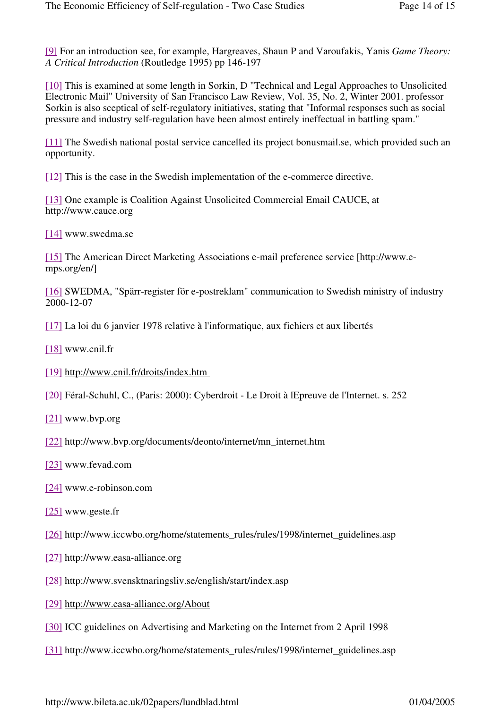[9] For an introduction see, for example, Hargreaves, Shaun P and Varoufakis, Yanis *Game Theory: A Critical Introduction* (Routledge 1995) pp 146-197

[10] This is examined at some length in Sorkin, D "Technical and Legal Approaches to Unsolicited Electronic Mail" University of San Francisco Law Review, Vol. 35, No. 2, Winter 2001. professor Sorkin is also sceptical of self-regulatory initiatives, stating that "Informal responses such as social pressure and industry self-regulation have been almost entirely ineffectual in battling spam."

[11] The Swedish national postal service cancelled its project bonusmail.se, which provided such an opportunity.

[12] This is the case in the Swedish implementation of the e-commerce directive.

[13] One example is Coalition Against Unsolicited Commercial Email CAUCE, at http://www.cauce.org

[14] www.swedma.se

[15] The American Direct Marketing Associations e-mail preference service [http://www.emps.org/en/]

[16] SWEDMA, "Spärr-register för e-postreklam" communication to Swedish ministry of industry 2000-12-07

[17] La loi du 6 janvier 1978 relative à l'informatique, aux fichiers et aux libertés

- [18] www.cnil.fr
- [19] http://www.cnil.fr/droits/index.htm
- [20] Féral-Schuhl, C., (Paris: 2000): Cyberdroit Le Droit à lEpreuve de l'Internet. s. 252
- [21] www.bvp.org
- [22] http://www.bvp.org/documents/deonto/internet/mn\_internet.htm
- [23] www.fevad.com
- [24] www.e-robinson.com
- [25] www.geste.fr
- [26] http://www.iccwbo.org/home/statements\_rules/rules/1998/internet\_guidelines.asp
- [27] http://www.easa-alliance.org
- [28] http://www.svensktnaringsliv.se/english/start/index.asp
- [29] http://www.easa-alliance.org/About
- [30] ICC guidelines on Advertising and Marketing on the Internet from 2 April 1998
- [31] http://www.iccwbo.org/home/statements\_rules/rules/1998/internet\_guidelines.asp